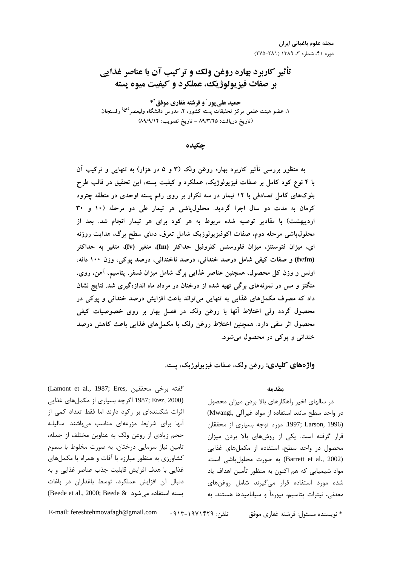# تأثیر کاربرد بهاره روغن ولک و ترکیب آن با عناصر غذایی بر صفات فيزيولوژيک، عملکرد و کيفيت ميوه پسته

حمید علی پور <sup>۱</sup> و فرشته غفاری موفق<sup>۲</sup>\* ۱، عضو هیئت علمی مرکز تحقیقات پسته کشور، ۲، مدرس دانشگاه ولیعصر<sup>(عج)</sup> رفسنجان (تاريخ دريافت: ٨٩/٣/٢٥ - تاريخ تصويب: ٨٩/٩/١۴)

حكىدە

به منظور بررسی تأثیر کاربرد بهاره روغن ولک (۳ و ۵ در هزار) به تنهایی و ترکیب آن با ۴ نوع کود کامل بر صفات فیزیولوژیک، عملکرد و کیفیت پسته، این تحقیق در قالب طرح بلوکهای کامل تصادفی با ۱۲ تیمار در سه تکرار بر روی رقم پسته اوحدی در منطقه چترود کرمان به مدت دو سال اجرا گردید. محلولپاشی هر تیمار طی دو مرحله (١٠ و ٣٠ اردیبهشت) با مقادیر توصیه شده مربوط به هر کود برای هر تیمار انجام شد. بعد از محلول،یاشی مرحله دوم، صفات اکوفیزیولوژیک شامل تعرق، دمای سطح برگ، هدایت روزنه ای، میزان فتوسنتز، میزان فلورسنس کلروفیل حداکثر (fm)، متغیر (fv)، متغیر به حداکثر (fv/fm) و صفات کیفی شامل درصد خندانی، درصد ناخندانی، درصد پوکی، وزن ۱۰۰ دانه، اونس و وزن کل محصول، همچنین عناصر غذایی برگ شامل میزان فسفر، پتاسیم، آهن، روی، منگنز و مس در نمونههای برگی تهیه شده از درختان در مرداد ماه اندازهگیری شد. نتایج نشان داد که مصرف مکملهای غذایی به تنهایی می تواند باعث افزایش درصد خندانی و پوکی در محصول گردد ولی اختلاط آنها با روغن ولک در فصل بهار بر روی خصوصیات کیفی محصول اثر منفی دارد. همچنین اختلاط روغن ولک با مکملهای غذایی باعث کاهش درصد خنداني و يوکې در محصول مي شود.

واژههای کلیدی: روغن ولک، صفات فیزیولوژیک، پسته.

# مقدمه

در سالهای اخیر راهکارهای بالا بردن میزان محصول در واحد سطح مانند استفاده از مواد غيرآلى ,Mwangi) (1996 ,1997; Larson, 1996. مورد توجه بسياري از محققان قرار گرفته است. یکی از روشهای بالا بردن میزان محصول در واحد سطح، استفاده از مکملهای غذایی (Barrett et al., 2002) به صورت محلول یاشی است. مواد شیمیایی که هم اکنون به منظور تأمین اهداف یاد شده مورد استفاده قرار میگیرند شامل روغنهای معدنی، نیترات پتاسیم، تیورهآ و سیانامیدها هستند. به

(Lamont et al., 1987; Eres, كفته برخى محققين (1987; Erez, 2000 اگرچه بسیاری از مکملهای غذایی اثرات شکنندهای بر رکود دارند اما فقط تعداد کمی از آنها برای شرایط مزرعهای مناسب میباشند. سالیانه حجم زیادی از روغن ولک به عناوین مختلف از جمله، تامین نیاز سرمایی درختان، به صورت مخلوط با سموم کشاورزی به منظور مبارزه با آفات و همراه با مکملهای غذايي با هدف افزايش قابليت جذب عناصر غذايي و به دنبال آن افزایش عملکرد، توسط باغداران در باغات (Beede et al., 2000; Beede & می شود)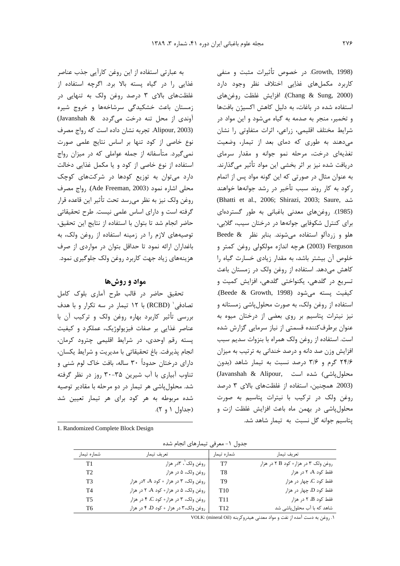به عبارتی استفاده از این روغن کارآیی جذب عناصر غذایی را در گیاه پسته بالا برد. اگرچه استفاده از غلظتهای بالای ۳ درصد روغن ولک به تنهایی در زمستان باعث خشکیدگی سرشاخهها و خروج شیره آوندی از محل تنه درخت می گردد (Javanshah & Alipour, 2003). تجربه نشان داده است كه رواج مصرف .<br>نوع خاصی از کود تنها بر اساس نتایج علمی صورت ; نمی گیرد. متأسفانه از جمله عواملی که در میزان رواج استفاده از نوع خاصی از کود و یا مکمل غذایی دخالت ; دارد می توان به توزیع کودها در شرکتهای کوچک محلي اشاره نمود (Ade Freeman, 2003). رواج مصرف روغن ولک نیز به نظر می<sub>،د</sub>سد تحت تأثیر این قاعده قرار گرفته است و دارای اساس علمی نیست. طرح تحقیقاتی حاضر انجام شد تا بتوان با استفاده از نتايج اين تحقيق، توصیههای لازم را در زمینه استفاده از روغن ولک، به باغداران ارائه نمود تا حداقل بتوان در مواردی از صرف هزینههای زیاد جهت کاربرد روغن ولک جلوگیری نمود.

# مواد و روشها

تحقيق حاضر در قالب طرح آماري بلوک کامل تصادفی' (RCBD) با ۱۲ تیمار در سه تکرار و با هدف بررسی تأثیر کاربرد بهاره روغن ولک و ترکیب آن با عناصر غذایی بر صفات فیزیولوژیک، عملکرد و کیفیت پسته رقم اوحدی، در شرایط اقلیمی چترود کرمان، انجام پذیرفت. باغ تحقیقاتی با مدیریت و شرایط یکسان، % دارای درختان حدوداً ۳۰ ساله، بافت خاک لوم شنی و تناوب آبیاری با آب شیرین ۳۵-۳۰ روز در نظر گرفته شد. محلول ٍاشی هر تیمار در دو مرحله با مقادیر توصیه شده مربوطه به هر کود برای هر تیمار تعیین شد (جداول ۱ و ۲).

1. Randomized Complete Block Design

-

Growth, 1998). در خصوص تأثیرات مثبت و منفی ۔<br>کاربرد مکملهای غذاِیی اختلاف نظر وجود دارد Chang & Sung, 2000). افزايش غلظت روغنهاي استفاده شده در باغات، به دلیل کاهش اکسیژن بافتها و تخمير، منجر به صدمه به گياه مي شود و اين مواد در شرایط مختلف اقلیمی، زراعی، اثرات متفاوتی را نشان می دهند به طوری که دمای بعد از تیمار، وضعیت تغذیهای درخت، مرحله نمو جوانه و مقدار سرمای دریافت شده نیز بر اثر بخشی این مواد تأثیر می *گ*ذارند. به عنوان مثال در صورتی که این گونه مواد پس از اتمام رکود به کار روند سبب تأخیر در رشد جوانهها خواهند (Bhatti et al., 2006; Shirazi, 2003; Saure, (1985). روغنهای معدنی باغبانی به طور گستردهای برای کنترل شکوفایی جوانهها در درختان سیب، گلابی، هلو و زردآلو استفاده می شوند. بنابر نظر Beede & Ferguson (2003) هرچه اندازه مولکولی روغن کمتر و خلوص آن بیشتر باشد، به مقدار زیادی خسارت گیاه را كاهش مى دهد. استفاده از روغن ولك در زمستان باعث ۔<br>تسریع در گلدھی، پکنواختی گلدھی، افزایش کمیت و كيفيت يسته مي شود (Beede & Growth, 1998). استفاده از روغن ولک، به صورت محلول یاشی زمستانه و نیز نیترات پتاسیم بر روی بعضی از درختان میوه به عنوان برطرفکننده قسمتی از نیاز سرمایی گزارش شده است. استفاده از روغن ولک همراه با بنزوات سدیم سبب افزایش وزن صد دانه و درصد خندانی به ترتیب به میزان ۲۴/۶ گرم و ۳/۶ درصد نسبت به تیمار شاهد (بدون محلول یاشی) شده است ,Javanshah & Alipour ( 2003. همچنین، استفاده از غلظتهای بالای ٣ درصد روغن ولک در ترکیب با نیترات پتاسیم به صورت محلول یاشی در بهمن ماه باعث افزایش غلظت ازت و یتاسیم جوانه گل نسبت به تیمار شاهد شد.

|  |  | جدول ١- معرفي تيمارهاي انجام شده |  |  |
|--|--|----------------------------------|--|--|
|--|--|----------------------------------|--|--|

| شماره تيمار | تعريف تيمار                           | شماره تيمار     | تعريف تيمار                         |
|-------------|---------------------------------------|-----------------|-------------------------------------|
| T1          | روغن ولک'، ۳در هزار                   | T7              | روغن ولک ۳ در هزار+ کود B ۲ در هزار |
| T2          | روغن ولک، ۵ در هزار                   | T8              | فقط کود A، ۲ در هزار                |
| T3          | روغن ولک، ۳ در هزار + کود A، ۲در هزار | T9              | فقط کود C، چهار در هزار             |
| T4          | روغن ولک، ۵ در هزار+ کود A، ۲ در هزار | T <sub>10</sub> | فقط کود D، چهار در هزار             |
| Т5          | روغن ولک، ۳ در هزار+ کود C، ۴ در هزار | T <sub>11</sub> | فقط کود B، ۲ در هزار                |
| T6          | روغن ولک،۳ در هزار + کود D، ۴ در هزار | T <sub>12</sub> | شاهد که با آب محلولپاشی شد          |

۱. روغن به دست آمده از نفت و مواد معدنی هیدروکربنه (VOLK: (mineral Oil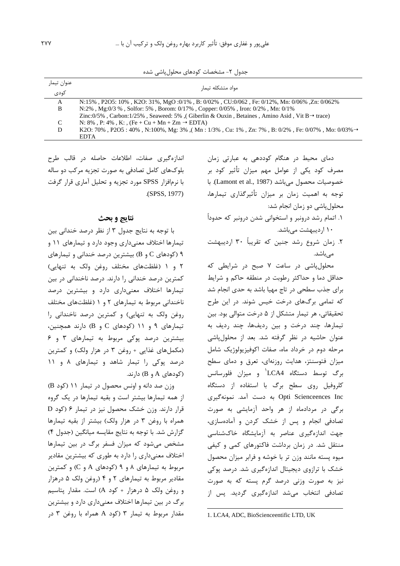| عنوان تيمار | مواد متشكله تيمار                                                                                           |
|-------------|-------------------------------------------------------------------------------------------------------------|
| كودى        |                                                                                                             |
| A           | N:15%, P2O5: 10%, K2O: 31%, MgO :0/1%, B: 0/02%, CU:0/062, Fe: 0/12%, Mn: 0/06%, Zn: 0/062%                 |
| B           | N:2%, Mg:0/3 %, Solfor: 5%, Borom: 0/17%, Copper: 0/05%, Iron: 0/2%, Mn: 0/1%                               |
|             | Zinc:0/5%, Carbon:1/25%, Seaweed: 5%, Giberlin & Ouxin, Betaines, Amino Asid, Vit B $\rightarrow$ trace)    |
| C           | N: 8%, P: 4%, K:, $(Fe + Cu + Mn + Zm \rightarrow EDTA)$                                                    |
| D           | K2O: 70%, P2O5: 40%, N:100%, Mg: 3%, (Mn: 1/3%, Cu: 1%, Zn: 7%, B: 0/2%, Fe: 0/07%, Mo: 0/03% $\rightarrow$ |
|             | <b>EDTA</b>                                                                                                 |

جدول ۲- مشخصات کودهای محلول پاشی شده

اندازهگیری صفات، اطلاعات حاصله در قالب طرح بلوکهای کامل تصادفی به صورت تجزیه مرکب دو ساله با نرمافزار SPSS مورد تجزیه و تحلیل آماری قرار گرفت (SPSS, 1977).

#### نتايج و بحث

با توجه به نتايج جدول ٣ از نظر درصد خنداني بين تیمارها اختلاف معنی داری وجود دارد و تیمارهای ۱۱ و ۹ (کودهای C و B) بیشترین درصد خندانی و تیمارهای ٢ و ١ (غلظتهاى مختلف روغن ولك به تنهايى) کمترین درصد خندانی را دارند. درصد ناخندانی در بین تیمارها اختلاف معنیداری دارد و بیشترین درصد ناخندانی مربوط به تیمارهای ٢ و ١ (غلظتهای مختلف روغن ولک به تنهایی) و کمترین درصد ناخندانی را تیمارهای ۹ و ۱۱ (کودهای C و B) دارند همچنین، بیشترین درصد پوکی مربوط به تیمارهای ۳ و ۶ (مکملهای غذایی + روغن ۳ در هزار ولک) و کمترین درصد پوکی را تیمار شاهد و تیمارهای ۸ و ۱۱ (کودهای A و B) دارند.

 $(B \rvert B)$  ) وزن صد دانه و اونس محصول در تیمار ۱۱ (کود از همه تیمارها بیشتر است و بقیه تیمارها در یک گروه قرار دارند. وزن خشک محصول نیز در تیمار ۶ (کود D همراه با روغن ٣ در هزار ولک) بيشتر از بقيه تيمارها گزارش شد. با توجه به نتايج مقايسه ميانگين (جدول ۴) مشخص میشود که میزان فسفر برگ در بین تیمارها اختلاف معنیداری را دارد به طوری که بیشترین مقادیر مربوط به تیمارهای ۸ و ۹ (کودهای A و C) و کمترین مقادیر مربوط به تیمارهای ۲ و ۴ (روغن ولک ۵ درهزار و روغن ولک ۵ درهزار + کود A) است. مقدار پتاسیم برگ در بین تیمارها اختلاف معنیداری دارد و بیشترین مقدار مربوط به تیمار ۳ (کود A همراه با روغن ۳ در

دمای محیط در هنگام کوددهی به عبارتی زمان مصرف کود یکی از عوامل مهم میزان تأثیر کود بر خصوصیات محصول می باشد (Lamont et al., 1987). با توجه به اهمیت زمان بر میزان تأثیرگذاری تیمارها، محلول پاشی دو زمان انجام شد:

- ۱. اتمام رشد درونبر و استخوانی شدن درونبر که حدوداً ۱۰ اردیبهشت میباشد.
- ۲. زمان شروع رشد جنین که تقریباً ۳۰ اردیبهشت مے باشد.

محلولپاشی در ساعت ٧ صبح در شرايطی كه حداقل دما و حداكثر رطوبت در منطقه حاكم و شرايط برای جذب سطحی در تاج مهیا باشد به حدی انجام شد که تمامی برگهای درخت خیس شوند. در این طرح تحقیقاتی، هر تیمار متشکل از ۵ درخت متوالی بود. بین تیمارها، چند درخت و بین ردیفها، چند ردیف به عنوان حاشیه در نظر گرفته شد. بعد از محلول یاشی مرحله دوم در خرداد ماه، صفات اکوفیزیولوژیک شامل میزان فتوسنتز، هدایت روزنهای، تعرق و دمای سطح برگ توسط دستگاه LCA4<sup>1</sup> و میزان فلورسانس کلروفیل روی سطح برگ با استفاده از دستگاه Opti Scienceences Inc به دست آمد. نمونهگیری برگی در مردادماه از هر واحد آزمایشی به صورت تصادفی انجام و پس از خشک کردن و آمادهسازی، جهت اندازهگیری عناصر به آزمایشگاه خاکشناسی منتقل شد. در زمان برداشت فاکتورهای کمی و کیفی میوه پسته مانند وزن تر با خوشه و فرابر میزان محصول خشک با ترازوی دیجیتال اندازهگیری شد. درصد یوکی نیز به صورت وزنی درصد گرم پسته که به صورت تصادفی انتخاب میشد اندازهگیری گردید. پس از

1. LCA4, ADC, BioScienceentific LTD, UK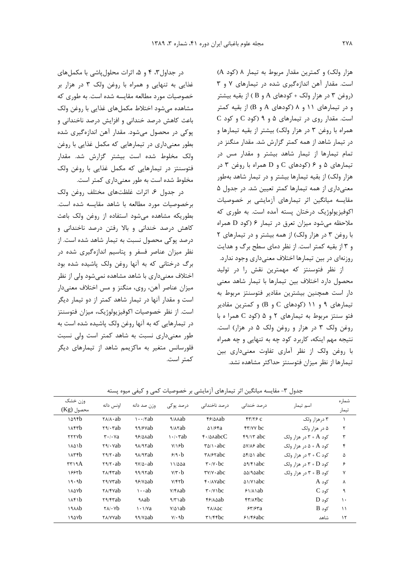هزار ولک) و کمترین مقدار مربوط به تیمار ۸ (کود A) است. مقدار آهن اندازهگیری شده در تیمارهای ۷ و ۳ (روغن ۳ در هزار ولک + کودهای A و B ) از بقیه بیشتر) و در تیمارهای ۱۱ و ۸ (کودهای A و B) از بقیه کمتر است. مقدار روی در تیمارهای ۵ و ۹ (کود C و کود C همراه با روغن ٣ در هزار ولک) بيشتر از بقيه تيمارها و در تیمار شاهد از همه کمتر گزارش شد. مقدار منگنز در تمام تیمارها از تیمار شاهد بیشتر و مقدار مس در تیمارهای ۵ و ۶ (کودهای C و D همراه با روغن ۳ در هزار ولک) از بقیه تیمارها بیشتر و در تیمار شاهد بهطور معنیداری از همه تیمارها کمتر تعیین شد. در جدول ۵ مقایسه میانگین اثر تیمارهای آزمایشی بر خصوصیات اکوفیزیولوژیک درختان پسته آمده است. به طوری که ملاحظه میشود میزان تعرق در تیمار ۶ (کود D همراه با روغن ۳ در هزار ولک) از همه بیشتر و در تیمارهای ۲ و ۳ از بقیه کمتر است. از نظر دمای سطح برگ و هدایت روزنهای در بین تیمارها اختلاف معنیداری وجود ندارد.

از نظر فتوسنتز که مهمترین نقش را در تولید محصول دارد اختلاف بين تيمارها با تيمار شاهد معنى دار است همچنین بیشترین مقادیر فتوسنتز مربوط به تیمارهای ۹ و ۱۱ (کودهای C و B) و کمترین مقادیر فتو سنتز مربوط به تیمارهای ٢ و ۵ (کود C همرا ه با روغن ولک ٣ در هزار و روغن ولک ۵ در هزار) است. نتیجه مهم اینکه، کاربرد کود چه به تنهایی و چه همراه با روغن ولک از نظر آماری تفاوت معنیداری بین تیمارها از نظر میزان فتوسنتز حداکثر مشاهده نشد.

در جداول ۳، ۴ و ۵، اثرات محلول یاشی با مکمل های غذایی به تنهایی و همراه با روغن ولک ۳ در هزار بر خصوصیات مورد مطالعه مقایسه شده است. به طوری که مشاهده می شود اختلاط مکمل های غذایی با روغن ولک باعث كاهش درصد خندانى و افزايش درصد ناخندانى و یوکی در محصول میشود. مقدار آهن اندازهگیری شده بطور معنے داری در تیمارهایے که مکمل غذایی با روغن ولک مخلوط شده است بیشتر گزارش شد. مقدار فتوسنتز در تیمارهایی که مکمل غذایی با روغن ولک مخلوط شده است به طور معنی داری کمتر است.

در جدول ۶، اثرات غلظتهای مختلف روغن ولک برخصوصيات مورد مطالعه با شاهد مقايسه شده است. بطوريكه مشاهده مى شود استفاده از روغن ولك باعث کاهش درصد خندانی و بالا رفتن درصد ناخندانی و درصد یوکی محصول نسبت به تیمار شاهد شده است. از نظر میزان عناصر فسفر و پتاسیم اندازهگیری شده در برگ درختانی که به آنها روغن ولک پاشیده شده بود اختلاف معنیداری با شاهد مشاهده نمیشود ولی از نظر میزان عناصر آهن، روی، منگنز و مس اختلاف معنیدار است و مقدار آنها در تیمار شاهد کمتر از دو تیمار دیگر است. از نظر خصوصیات اکوفیزیولوژیک، میزان فتوسنتز در تیمارهایی که به آنها روغن ولک پاشیده شده است به طور معنیداری نسبت به شاهد کمتر است ولی نسبت فلورسانس متغیر به ماکزیمم شاهد از تیمارهای دیگر كمتر است.

جدول ۳- مقایسه میانگین اثر تیمارهای آزمایشی بر خصوصیات کمی و کیفی میوه پسته

| وزن خشک           |                                                        |                         |                                  |                                                                               |                             |                                             | شماره         |  |
|-------------------|--------------------------------------------------------|-------------------------|----------------------------------|-------------------------------------------------------------------------------|-----------------------------|---------------------------------------------|---------------|--|
| محصول (Kg)        | اونس دانه                                              | وزن صد دانه             | درصد یوکی                        | درصد ناخندانی                                                                 | در صد خندانی                | اسم تیمار                                   | تيمار         |  |
| ۱۵۹۴b             | $\mathsf{Y}\wedge\mathsf{A}\cdot\mathsf{ab}$           | $\cdots$ $\mathsf{rab}$ | <b>A/A</b> Aab                   | $f$ / $\Delta$ $\lambda$ ab                                                   | $fY/Y$ $c$                  | ۳ درهزار ولک                                |               |  |
| $\lambda$ ۴۳ $b$  | $\mathbf{Y} \mathbf{9} / \cdot \mathbf{Y}$ ab          | $99/8$ ab               | $9/(\lambda \delta)$             | $\Delta$ 1/۶۴a                                                                | $f''$ over the $f''$        | ۵ در هزار ولک                               | ٢             |  |
| <b>TYYYb</b>      | $\mathbf{r} \cdot \mathbf{r} \cdot \mathbf{v}$ a       | 99/00ab                 | $\cdot$ / $\cdot$ $\mathsf{rab}$ | $f$ · $\Delta \lambda abcC$                                                   | $f \frac{q}{r}$             | کود A + ۳ در هزار ولک                       | $\mathbf{r}$  |  |
| ۱۸۵۱b             | $\mathbf{Y}^{\mathsf{q}}\cdot\mathbf{V}$ ab            | $4\lambda/4$ rab        | V/18b                            | $\uparrow \Delta / \setminus abc$                                             | $\Delta V/\Delta F$ abc     | کود A + ۵ در هزار ولک                       | $\mathbf{r}$  |  |
| $\lambda$ ۳۴ $b$  | $\mathbf{Y} \mathbf{9} / \mathbf{Y} \cdot \mathbf{ab}$ | $9A/9$ rab              | $9/9 \cdot b$                    | $\mathsf{r}\wedge\mathsf{r}\wedge\mathsf{r}\wedge\mathsf{a}\wedge\mathsf{c}$  | $\Delta f/\Delta$ abc       | کود $\mathsf{C}$ + $\mathsf{C}$ در هزار ولک | ۵             |  |
| rr19A             | $\mathbf{Y} \mathbf{9} / \mathbf{Y} \cdot \mathbf{ab}$ | $9V/\Delta \cdot ab$    | 11/44a                           | $\mathbf{r} \cdot \mathbf{v} \cdot \mathbf{b}$ c                              | $\Delta$ 9/۴۱abc            | کود P + D در هزار ولک                       | ۶             |  |
| ۱۶۶۲b             | $Y_A$ $Y_A$                                            | 99/9rab                 | $V/\tau \cdot b$                 | $\mathbf{r}$ $\mathbf{v}$ $\mathbf{v}$ $\mathbf{a}$ $\mathbf{b}$ $\mathbf{c}$ | $\Delta\Delta/\text{A}$ abc | کود B + ۳ در هزار ولک                       | $\mathsf{v}$  |  |
| 19.9 <sub>b</sub> | ۲۹/۷۳ab                                                | 99/8ab                  | Y/FYb                            | $f \cdot \Delta V$ abc                                                        | $\Delta$ \/Y \ abc          | کود A                                       | Λ             |  |
| <b>A</b>          | <b>TA/FVab</b>                                         | $\cdots$ ab             | $V/FA$ ab                        | $\mathbf{r} \cdot \mathbf{y}$ \ bc                                            | $51/\lambda$ ab             | $C$ کود                                     | ٩             |  |
| 14f1b             | Y9/Frab                                                | ۹۸ab                    | $\gamma$ ab                      | $f$ / $\lambda$ ab                                                            | $f\uparrow/\lambda f$ bc    | کود D                                       | $\mathcal{L}$ |  |
| 19A               | $\mathsf{Y} \wedge \mathsf{Y} \cdot \mathsf{Y}$        | $\cdot$ $\sqrt{a}$      | $V/\Delta$ \ab                   | ΥΛ/ΛΔΟ                                                                        | 557/57a                     | $B$ کود                                     | $\setminus$   |  |
| ۱۹۵۷b             | <b>YA/YYab</b>                                         | 99/Yaab                 | $V/\cdot 9b$                     | $\mathbf{r}$ \/ffbc                                                           | $51/F$ Fabc                 | شاهد                                        | $\lambda$     |  |
|                   |                                                        |                         |                                  |                                                                               |                             |                                             |               |  |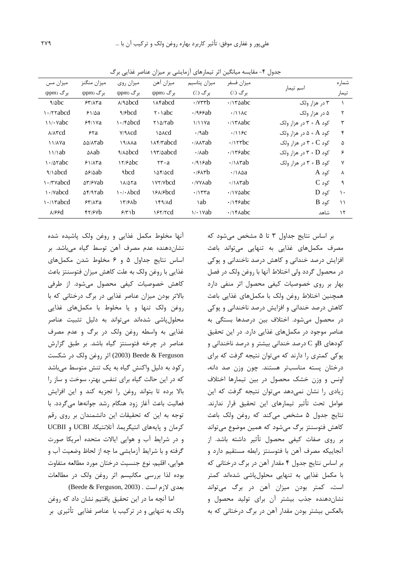| میزان مس                            | ميزان منگنز                        | میزان روی                       | ميزان آهن                        | ميزان پتاسيم                             | ميزان فسفر                                                                  |                                       | شماره         |
|-------------------------------------|------------------------------------|---------------------------------|----------------------------------|------------------------------------------|-----------------------------------------------------------------------------|---------------------------------------|---------------|
| برگ (ppm)                           | بر گ (ppm)                         | بر گ (ppm)                      | برگ (ppm)                        | برگ (./)                                 | برگ (./)                                                                    | اسم تیمار                             | تيمار         |
| 9/abc                               | 54/18                              | $\lambda$ /9 $\Delta$ bcd       | <b>Mabcd</b>                     | $\cdot$ / $\forall$ ۳۳ $\mathbf{b}$      | $\cdot$ / $\gamma$ abc                                                      | ۳ در هزار ولک                         |               |
| rrabcd) ا                           | $91/\Delta a$                      | $\gamma$ / $\epsilon$ bcd       | $\mathsf{Y} \cdot \mathsf{habc}$ | .1999ab                                  | $\cdot$ /11 $\lambda$ c                                                     | ۵ در هزار ولک                         | ٢             |
| $\frac{11}{4}$ vabc                 | 55/18a                             | $\cdot$ /۴۵ $bd$                | $Y \land Yab$                    | $1/11$ Ya                                | $\cdot$ / $\uparrow$ $\uparrow$ $\uparrow$ $\uparrow$ $\uparrow$ $\uparrow$ | کود A + ۳ در هزار ولک                 | ٣             |
| $\lambda/\lambda$ ۳cd               | 54a                                | $V/9 \lambda c d$               | $\Delta \alpha$                  | $\cdot$ /9ab                             | $\cdot$ /1190                                                               | کود A + A در هزار ولک                 | ۴             |
| 11/AVa                              | $\Delta\Delta/\lambda \text{ab}$   | ра/лла                          | <b>IAY/Tabcd</b>                 | $\cdot$ / $\lambda \wedge \mathbf{r}$ ab | $\cdot$ / $\mathsf{rrbc}$                                                   | کود $C \rightarrow Y + C$ در هزار ولک | ۵             |
| 11/1ab                              | ∆∧ab                               | <b>A/Asbcd</b>                  | 197/0abcd                        | $\cdot$ / $\wedge$ ab                    | $\cdot$ / $\gamma$ reabc                                                    | کود P + D در هزار ولک                 | ۶             |
| ۱۰/۵۲abc                            | 51/18a                             | $17/6$ obc                      | $rr \cdot a$                     | $\cdot$ /918ab                           | $\cdot$ /\ $\land$ rab                                                      | کود R + B در هزار ولک                 | $\mathsf{v}$  |
| $\frac{1}{\delta}$                  | $\Delta$ ۶/ $\Delta$ ab            | ٩bcd                            | $\Delta f/\Delta c d$            | .98                                      | $\cdot$ / $\lambda$ a                                                       | کود A                                 | Λ             |
| r ۰/۳۷abcd                          | $\Delta \mathbf{r}/\mathbf{r}$ vab | <b>18/07a</b>                   | <i><u>NYVVbcd</u></i>            | $\cdot$ /YY $\lambda$ ab                 | $\cdot$ / $\lambda$ rab                                                     | $C_0$ کود                             | ٩             |
| $\cdot$ /vabcd                      | $\Delta f$ /97ab                   | $\cdot$ / $\cdot$ $\lambda$ bcd | 18A/Bbcd                         | $\cdot$ / $\mathbf{r}$ rra               | $\cdot$ / $\vee$ $\triangle$ $abc$                                          | $D_0$ کود                             | $\mathcal{L}$ |
| $\cdot$ /\rabcd                     | 57/17a                             | ۱۳/۶۸b                          | 149/4                            | ١ab                                      | $\cdot$ /\fabc                                                              | $B$ کود                               | $\setminus$   |
| $\lambda$ / $\epsilon$ $\epsilon$ d | $f\gamma/\gamma$                   | 9/7 b                           | 151/2                            | $1/1$ $\vee$ $ab$                        | $\cdot$ / $\gamma$ Aabc                                                     | شاهد                                  | $\gamma$      |

جدول ۴- مقایسه میانگین اثر تیمارهای آزمایشی بر میزان عناصر غذایی برگ

آنها مخلوط مكمل غذايي و روغن ولک پاشيده شده نشان دهنده عدم مصرف آهن توسط گیاه میباشد. بر اساس نتایج جداول ۵ و ۶ مخلوط شدن مکملهای غذایی با روغن ولک به علت کاهش میزان فتوسنتز باعث كاهش خصوصيات كيفى محصول مى شود. از طرفى بالاتر بودن میزان عناصر غذایی در برگ درختانی که با روغن ولک تنها و یا مخلوط با مکملهای غذایی محلول یاشی شدهاند می تواند به دلیل تثبیت عناصر غذایی به واسطه روغن ولک در برگ و عدم مصرف عناصر در چرخه فتوسنتز گیاه باشد. بر طبق گزارش Beede & Ferguson (2003) اثر روغن ولک در شکست رکود به دلیل واکنش گیاه به یک تنش متوسط میباشد که در این حالت گیاه برای تنفس بهتر، سوخت و ساز را بالا برده تا بتواند روغن را تجزيه كند و اين افزايش فعالیت باعث آغاز زود هنگام رشد جوانهها میگردد. با توجه به این که تحقیقات این دانشمندان بر روی رقم كرمان و پايههاى انتيگريما، آتلانتيكا، UCBI و UCBII و در شرایط آب و هوایی ایالات متحده آمریکا صورت گرفته و با شرایط آزمایشی ما چه از لحاظ وضعیت آب و هوايي، اقليم، نوع جنسيت درختان مورد مطالعه متفاوت بوده لذا بررسی مکانیسم اثر روغن ولک در مطالعات (Beede & Ferguson, 2003) . بعدى لازم است

اما آنچه ما در این تحقیق یافتیم نشان داد که روغن ولک به تنهایی و در ترکیب با عناصر غذایی تأثیری بر

بر اساس نتایج جداول ۳ تا ۵ مشخص می شود که مصرف مکملهای غذایی به تنهایی میتواند باعث افزایش درصد خندانی و کاهش درصد ناخندانی و پوکی در محصول گردد ولی اختلاط آنها با روغن ولک در فصل بهار بر روی خصوصیات کیفی محصول اثر منفی دارد همچنین اختلاط روغن ولک با مکملهای غذایی باعث کاهش درصد خندانی و افزایش درصد ناخندانی و پوکی در محصول می شود. اختلاف بین درصدها بستگی به عناصر موجود در مکملهای غذایی دارد. در این تحقیق کودهای B و C درصد خندانی بیشتر و درصد ناخندانی و پوکی کمتری را دارند که میتوان نتیجه گرفت که برای درختان پسته مناسبتر هستند. چون وزن صد دانه، اونس و وزن خشک محصول در بین تیمارها اختلاف زیادی را نشان نمیدهد می توان نتیجه گرفت که این عوامل تحت تأثير تيمارهاي اين تحقيق قرار ندارند. نتايج جدول ۵ مشخص مي كند كه روغن ولك باعث كاهش فتوسنتز برگ مىشود كه همين موضوع مىتواند بر روی صفات کیفی محصول تأثیر داشته باشد. از آنجاییکه مصرف آهن با فتوسنتز رابطه مستقیم دارد و بر اساس نتایج جدول ۴ مقدار آهن در برگ درختانی که با مکمل غذایی به تنهایی محلولپاشی شدهاند کمتر است، کمتر بودن میزان آهن در برگ می تواند نشان دهنده جذب بیشتر آن برای تولید محصول و بالعکس بیشتر بودن مقدار آهن در برگ درختانی که به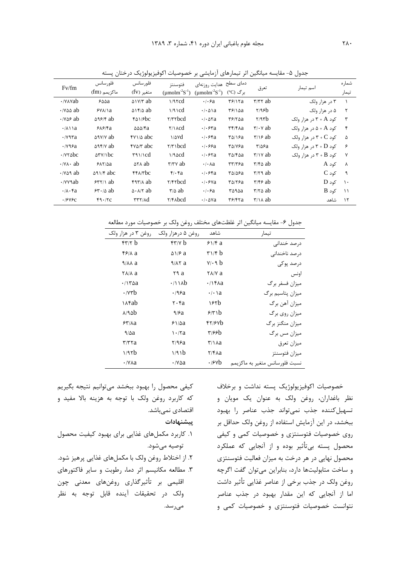| Fv/fm                                                | فلور سانس<br>ماكزيمم (fm)  | فلور سانس<br>متغیر (fv)                                                                                                                                                                                                                                                                                                | فتوسنتز<br>(umolm <sup>-2</sup> S <sup>-1</sup> ) | دمای سطح هدایت روزنهای<br>(umolm <sup>-2</sup> S <sup>-1</sup> ) | بر گ (°C)                                             | تعرق                                     | اسم تیمار                             | شمار ه<br>تيمار |
|------------------------------------------------------|----------------------------|------------------------------------------------------------------------------------------------------------------------------------------------------------------------------------------------------------------------------------------------------------------------------------------------------------------------|---------------------------------------------------|------------------------------------------------------------------|-------------------------------------------------------|------------------------------------------|---------------------------------------|-----------------|
| W۸۷ab∨۰                                              | ۶۵۵a                       | $\Delta V/Y$ ab                                                                                                                                                                                                                                                                                                        | $1/9$ rcd                                         | $\cdot$ $\cdot$ $\epsilon$ a                                     | $\frac{8}{2}$                                         | $\tau/\tau\tau$ ab                       | ۳ در هزار ولک                         |                 |
| $\cdot$ / $\vee$ $\triangle$ ab                      | $YV\Lambda/\lambda$        | $\Delta$ \f/ $\Delta$ ab                                                                                                                                                                                                                                                                                               | $1/9$ \cd                                         | $\cdot$ / $\cdot$ $\Delta$ \ a                                   | $\frac{8}{2}$                                         | Y/95b                                    | ۵ در هزار ولک                         | ٢               |
| $\cdot$ / Y $\Delta$ $\epsilon$ ab                   | $\Delta$ 98/4 ab           | $f\Delta$ \/ $\epsilon$ bc                                                                                                                                                                                                                                                                                             | Y/YYbcd                                           | $\cdot$ / $\cdot$ $\Delta$ $\tau$ a                              | $\frac{8}{2}$                                         | $\gamma$                                 | کود A + ۳ در هزار ولک                 | ٣               |
| $\cdot$ / $\wedge$ $\wedge$ a                        | $9\lambda$ $9/8a$          | $\Delta\Delta\Delta$ / $\tau$ a                                                                                                                                                                                                                                                                                        | $\gamma \wedge \text{c}$                          | $\cdot$ / $\cdot$ $\epsilon$ $\tau$ a                            | $\mathbf{r}$ $\mathbf{r}$ / $\mathbf{r}$ $\mathbf{a}$ | $\mathbf{r}/\mathbf{v}$ ab               | کود A + ۵ د, هزا <sub>ر و</sub> لک    | $\mathbf{r}$    |
| $\cdot$ / $\vee$ 9 $\tau$ a                          | $\Delta$ 9 $\sqrt{V/V}$ ab | $f$ $\frac{1}{2}$ $\frac{1}{2}$ $\frac{1}{2}$ $\frac{1}{2}$ $\frac{1}{2}$ $\frac{1}{2}$ $\frac{1}{2}$ $\frac{1}{2}$ $\frac{1}{2}$ $\frac{1}{2}$ $\frac{1}{2}$ $\frac{1}{2}$ $\frac{1}{2}$ $\frac{1}{2}$ $\frac{1}{2}$ $\frac{1}{2}$ $\frac{1}{2}$ $\frac{1}{2}$ $\frac{1}{2}$ $\frac{1}{2}$ $\frac{1}{2}$ $\frac{1}{2$ | $\frac{1}{\Delta}$                                | $\cdot$ / $\cdot$ ۶۴a                                            | ۳۵/۱۶a                                                | $\frac{1}{2}$                            | کود $C \rightarrow Y + C$ در هزار ولک | ۵               |
| ۷۹۶a .                                               | $\Delta$ 94/v ab           | $\gamma \Delta \gamma$ abc                                                                                                                                                                                                                                                                                             | $\forall x$ \ bcd                                 |                                                                  | ۳۵/۷۶a                                                | $\mathbf{y}/\mathbf{z}$ a                | کود P + D در هزار ولک                 | ۶               |
| y۲۵bc                                                | $\Delta$ ۳۷/۱ $bc$         | $\frac{4}{11}$                                                                                                                                                                                                                                                                                                         | $1/9 \triangle c d$                               |                                                                  | ۳۵/۴۵a                                                | $\frac{r}{v}$                            | کود R + B در هزار ولک                 | $\mathsf{v}$    |
| $\cdot$ /Y $\wedge$ ab                               | $5\lambda\frac{5}{4}$      | ATA ab                                                                                                                                                                                                                                                                                                                 | $\tau/\tau v$ ab                                  | $\cdot$ / $\cdot$ Aa                                             | $\mathbf{r}\mathbf{r}/\mathbf{r}\mathbf{s}$ a         | $\tau$ /۴۵ ab                            | کود A                                 | Λ               |
| $\cdot$ / $\vee$ $\triangle$ $\triangle$ $\triangle$ | $\Delta$ 91/6 abc          | $f f \wedge f b c$                                                                                                                                                                                                                                                                                                     | $\mathfrak{f}/\mathfrak{f}a$                      | $\cdot$ / $\cdot$ $\epsilon$ $\epsilon$ a                        | ۳۵/۵۶a                                                | $\mathbf{r}/\mathbf{r} \cdot \mathbf{a}$ | $C$ کود                               | ্ণ              |
| $\cdot$ /v $\vee$ ab                                 | $557/1$ ab                 | $f$ 97/ $\land$ ab                                                                                                                                                                                                                                                                                                     | Y/FYbcd                                           | $\cdot$ / $\cdot$ ۶۷a                                            | $\mathbf{r}_{\Delta}$                                 | $\tau$ /۴۶ ab                            | $D_2$ کود                             | $\cdot$         |
| $\cdot$ $\wedge \cdot$ fa                            | $54.10$ ab                 | $\Delta$ $\cdot$ $\Delta$ / $\gamma$ ab                                                                                                                                                                                                                                                                                | $\frac{r}{\Delta}$ ab                             | $\cdot \cdot \cdot$ ra                                           | ۳۵۹۵a                                                 | $\tau/\tau \Delta$ ab                    | $B$ کود                               | $\rightarrow$   |
| .1949c                                               | f9.7C                      | TTY/Ad                                                                                                                                                                                                                                                                                                                 | Y/FAbcd                                           | $\cdot$ / $\cdot$ $\Delta$ Ya                                    | $\mathbf{r}$ $\epsilon$ / $\mathbf{r}$ $\mathbf{r}$ a | $\frac{1}{2}$                            | شاهد                                  | $\gamma$        |

جدول ۵- مقایسه میانگین اثر تیمارهای آزمایشی بر خصوصیات اکوفیزیولوژیک درختان پسته

جدول ۶- مقايسه ميانگين اثر غلظتهاى مختلف روغن ولک بر خصوصيات مورد مطالعه

| روغن ۳ در هزار ولک              | روغن ۵ درهزار ولک                     | شاهد                                   | تيمار                          |
|---------------------------------|---------------------------------------|----------------------------------------|--------------------------------|
| $f''/f$ b                       | f''                                   | 91/6a                                  | درصد خندانی                    |
| $f$ / $\lambda$ a               | $\Delta$ $\sqrt{2}$ a                 | $\mathbf{r} \mathbf{1} / \mathbf{r}$ b | د, صد ناخندانے ِ               |
| $9/AA$ a                        | 9/17a                                 | $V/\cdot$ 9 b                          | در صد یو کے                    |
| $Y$ $\Lambda$ / $\Lambda$ a     | ۲۹ a                                  | $Y$ $\Lambda$ / $Y$ a                  | اونس                           |
| $\cdot$ / $\mathcal{r}\Delta a$ | $\cdot$ /11 $\lambda$ b               | $\cdot$ / $\uparrow$ Aa                | میزان فسفر برگ                 |
| $\cdot$ / $\forall$ rb          | $\cdot$ /96a                          | $\cdot$   $\cdot$   a                  | میزان پتاسیم برگ               |
| <b>\Afab</b>                    | $\mathsf{r}\cdot\mathsf{r}\mathsf{a}$ | ۱۶۲b                                   | میزان آهن برگ                  |
| $\lambda$ /۹۵b                  | 9/6a                                  | 5/5                                    | میزان روی برگ                  |
| 55/4a                           | $51/\Delta a$                         | $f\gamma/\gamma b$                     | میزان منگنز برگ                |
| $9/\Delta a$                    | $\cdot$ $\alpha$                      | <u>۳۱۶۶b</u>                           | میزان مس برگ                   |
| $\mathbf{r}$ / $\mathbf{r}$ ra  | ۲/۹۶a                                 | $\frac{1}{2}$                          | ميزان تعرق                     |
| 1/97b                           | 1/91b                                 | $Y/F\lambda a$                         | ميزان فتوسنتز                  |
| $\cdot$ / $\vee$ $\wedge$ $a$   | $\cdot$ /Yaa                          | $\cdot$ / $\circ$ $\forall$ b          | نسبت فلورسانس متغير به ماكزيمم |

خصوصیات اکوفیزیولوژیک پسته نداشت و برخلاف نظر باغداران، روغن ولک به عنوان یک مویان و تسهيل كننده جذب نمى تواند جذب عناصر را بهبود ببخشد، در این آزمایش استفاده از روغن ولک حداقل بر روی خصوصیات فتوسنتزی و خصوصیات کمی و کیفی محصول پسته بی¤أثیر بوده و از آنجایی که عملکرد محصول نهایی در هر درخت به میزان فعالیت فتوسنتزی و ساخت متابولیتها دارد، بنابراین میتوان گفت اگرچه روغن ولک در جذب برخی از عناصر غذایی تأثیر داشت اما از آنجایی که این مقدار بهبود در جذب عناصر نتوانست خصوصیات فتوسنتزی و خصوصیات کمی و

كيفي محصول را بهبود ببخشد مىتوانيم نتيجه بگيريم که کاربرد روغن ولک با توجه به هزینه بالا مفید و اقتصادی نمی،باشد.

پیشنهادات

- ١. كاربرد مكملهاى غذايى براى بهبود كيفيت محصول توصيه ميشود.
- ۲. از اختلاط روغن ولک با مکملهای غذایی پرهیز شود.

۳. مطالعه مکانیسم اثر دما، رطوبت و سایر فاکتورهای اقلیمی بر تأثیرگذاری روغنهای معدنی چون ولک در تحقیقات آینده قابل توجه به نظر مے رسد.